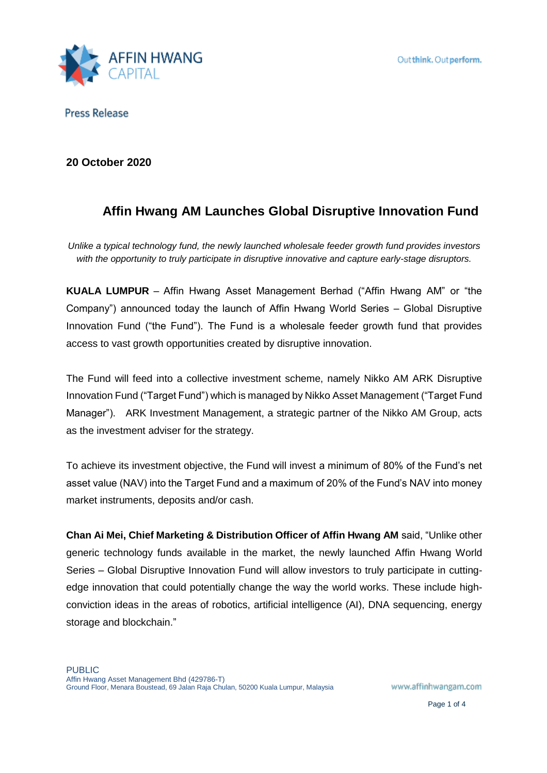

## **20 October 2020**

# **Affin Hwang AM Launches Global Disruptive Innovation Fund**

*Unlike a typical technology fund, the newly launched wholesale feeder growth fund provides investors with the opportunity to truly participate in disruptive innovative and capture early-stage disruptors.* 

**KUALA LUMPUR** – Affin Hwang Asset Management Berhad ("Affin Hwang AM" or "the Company") announced today the launch of Affin Hwang World Series – Global Disruptive Innovation Fund ("the Fund"). The Fund is a wholesale feeder growth fund that provides access to vast growth opportunities created by disruptive innovation.

The Fund will feed into a collective investment scheme, namely Nikko AM ARK Disruptive Innovation Fund ("Target Fund") which is managed by Nikko Asset Management ("Target Fund Manager"). ARK Investment Management, a strategic partner of the Nikko AM Group, acts as the investment adviser for the strategy.

To achieve its investment objective, the Fund will invest a minimum of 80% of the Fund's net asset value (NAV) into the Target Fund and a maximum of 20% of the Fund's NAV into money market instruments, deposits and/or cash.

**Chan Ai Mei, Chief Marketing & Distribution Officer of Affin Hwang AM** said, "Unlike other generic technology funds available in the market, the newly launched Affin Hwang World Series – Global Disruptive Innovation Fund will allow investors to truly participate in cuttingedge innovation that could potentially change the way the world works. These include highconviction ideas in the areas of robotics, artificial intelligence (AI), DNA sequencing, energy storage and blockchain."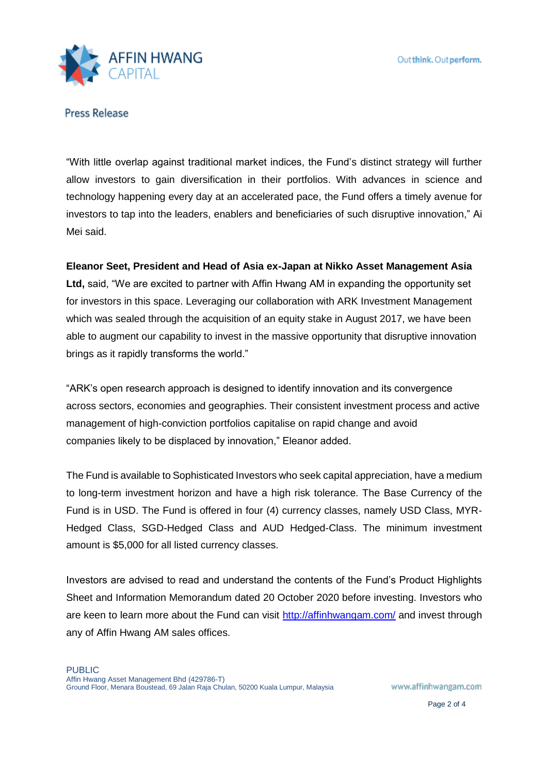

"With little overlap against traditional market indices, the Fund's distinct strategy will further allow investors to gain diversification in their portfolios. With advances in science and technology happening every day at an accelerated pace, the Fund offers a timely avenue for investors to tap into the leaders, enablers and beneficiaries of such disruptive innovation," Ai Mei said.

## **Eleanor Seet, President and Head of Asia ex-Japan at Nikko Asset Management Asia**

**Ltd,** said, "We are excited to partner with Affin Hwang AM in expanding the opportunity set for investors in this space. Leveraging our collaboration with ARK Investment Management which was sealed through the acquisition of an equity stake in August 2017, we have been able to augment our capability to invest in the massive opportunity that disruptive innovation brings as it rapidly transforms the world."

"ARK's open research approach is designed to identify innovation and its convergence across sectors, economies and geographies. Their consistent investment process and active management of high-conviction portfolios capitalise on rapid change and avoid companies likely to be displaced by innovation," Eleanor added.

The Fund is available to Sophisticated Investors who seek capital appreciation, have a medium to long-term investment horizon and have a high risk tolerance. The Base Currency of the Fund is in USD. The Fund is offered in four (4) currency classes, namely USD Class, MYR-Hedged Class, SGD-Hedged Class and AUD Hedged-Class. The minimum investment amount is \$5,000 for all listed currency classes.

Investors are advised to read and understand the contents of the Fund's Product Highlights Sheet and Information Memorandum dated 20 October 2020 before investing. Investors who are keen to learn more about the Fund can visit<http://affinhwangam.com/> and invest through any of Affin Hwang AM sales offices.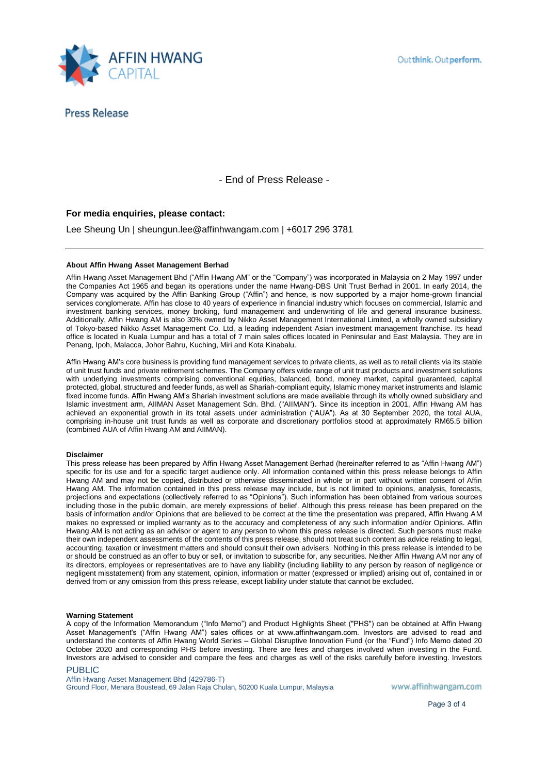

- End of Press Release -

### **For media enquiries, please contact:**

Lee Sheung Un | sheungun.lee@affinhwangam.com | +6017 296 3781

#### **About Affin Hwang Asset Management Berhad**

Affin Hwang Asset Management Bhd ("Affin Hwang AM" or the "Company") was incorporated in Malaysia on 2 May 1997 under the Companies Act 1965 and began its operations under the name Hwang-DBS Unit Trust Berhad in 2001. In early 2014, the Company was acquired by the Affin Banking Group ("Affin") and hence, is now supported by a major home-grown financial services conglomerate. Affin has close to 40 years of experience in financial industry which focuses on commercial, Islamic and investment banking services, money broking, fund management and underwriting of life and general insurance business. Additionally, Affin Hwang AM is also 30% owned by Nikko Asset Management International Limited, a wholly owned subsidiary of Tokyo-based Nikko Asset Management Co. Ltd, a leading independent Asian investment management franchise. Its head office is located in Kuala Lumpur and has a total of 7 main sales offices located in Peninsular and East Malaysia. They are in Penang, Ipoh, Malacca, Johor Bahru, Kuching, Miri and Kota Kinabalu.

Affin Hwang AM's core business is providing fund management services to private clients, as well as to retail clients via its stable of unit trust funds and private retirement schemes. The Company offers wide range of unit trust products and investment solutions with underlying investments comprising conventional equities, balanced, bond, money market, capital guaranteed, capital protected, global, structured and feeder funds, as well as Shariah-compliant equity, Islamic money market instruments and Islamic fixed income funds. Affin Hwang AM's Shariah investment solutions are made available through its wholly owned subsidiary and Islamic investment arm, AIIMAN Asset Management Sdn. Bhd. ("AIIMAN"). Since its inception in 2001, Affin Hwang AM has achieved an exponential growth in its total assets under administration ("AUA"). As at 30 September 2020, the total AUA, comprising in-house unit trust funds as well as corporate and discretionary portfolios stood at approximately RM65.5 billion (combined AUA of Affin Hwang AM and AIIMAN).

#### **Disclaimer**

This press release has been prepared by Affin Hwang Asset Management Berhad (hereinafter referred to as "Affin Hwang AM") specific for its use and for a specific target audience only. All information contained within this press release belongs to Affin Hwang AM and may not be copied, distributed or otherwise disseminated in whole or in part without written consent of Affin Hwang AM. The information contained in this press release may include, but is not limited to opinions, analysis, forecasts, projections and expectations (collectively referred to as "Opinions"). Such information has been obtained from various sources including those in the public domain, are merely expressions of belief. Although this press release has been prepared on the basis of information and/or Opinions that are believed to be correct at the time the presentation was prepared, Affin Hwang AM makes no expressed or implied warranty as to the accuracy and completeness of any such information and/or Opinions. Affin Hwang AM is not acting as an advisor or agent to any person to whom this press release is directed. Such persons must make their own independent assessments of the contents of this press release, should not treat such content as advice relating to legal, accounting, taxation or investment matters and should consult their own advisers. Nothing in this press release is intended to be or should be construed as an offer to buy or sell, or invitation to subscribe for, any securities. Neither Affin Hwang AM nor any of its directors, employees or representatives are to have any liability (including liability to any person by reason of negligence or negligent misstatement) from any statement, opinion, information or matter (expressed or implied) arising out of, contained in or derived from or any omission from this press release, except liability under statute that cannot be excluded.

#### **Warning Statement**

A copy of the Information Memorandum ("Info Memo") and Product Highlights Sheet ("PHS") can be obtained at Affin Hwang Asset Management's ("Affin Hwang AM") sales offices or at www.affinhwangam.com. Investors are advised to read and understand the contents of Affin Hwang World Series – Global Disruptive Innovation Fund (or the "Fund") Info Memo dated 20 October 2020 and corresponding PHS before investing. There are fees and charges involved when investing in the Fund. Investors are advised to consider and compare the fees and charges as well of the risks carefully before investing. Investors

#### PUBLIC

Affin Hwang Asset Management Bhd (429786-T) Ground Floor, Menara Boustead, 69 Jalan Raja Chulan, 50200 Kuala Lumpur, Malaysia

www.affinhwangam.com